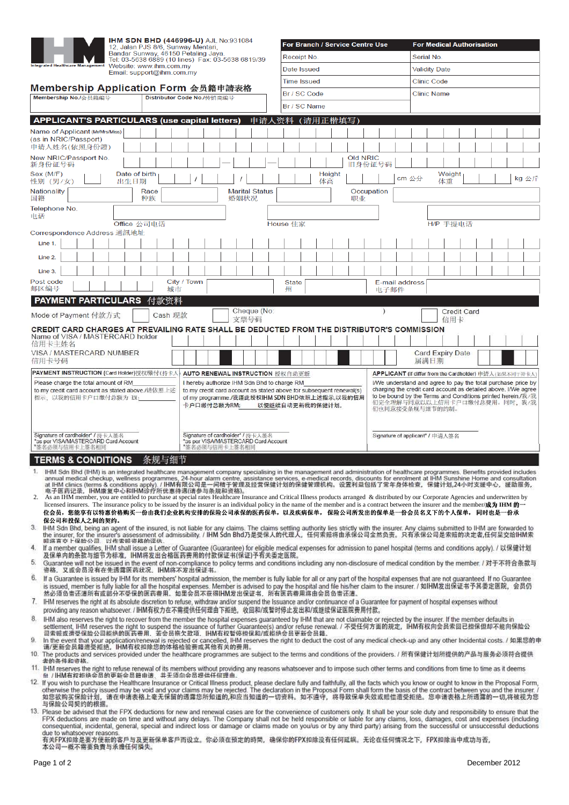|                                                                                                                                                                                             |                                                                                                                                                                                                                                                                                                                                                                                                                         |      | IHM SDN BHD (446996-U) AJL No:931084<br>12, Jalan PJS 8/6, Sunway Mentari, |             |                                                                                                                                                        |                                             |                                                                                                                                                                                                                                                                      |              |                  |              | For Branch / Service Centre Use                                                              |           |                      |                                                                                                                                |      | <b>For Medical Authorisation</b> |  |  |                                                         |
|---------------------------------------------------------------------------------------------------------------------------------------------------------------------------------------------|-------------------------------------------------------------------------------------------------------------------------------------------------------------------------------------------------------------------------------------------------------------------------------------------------------------------------------------------------------------------------------------------------------------------------|------|----------------------------------------------------------------------------|-------------|--------------------------------------------------------------------------------------------------------------------------------------------------------|---------------------------------------------|----------------------------------------------------------------------------------------------------------------------------------------------------------------------------------------------------------------------------------------------------------------------|--------------|------------------|--------------|----------------------------------------------------------------------------------------------|-----------|----------------------|--------------------------------------------------------------------------------------------------------------------------------|------|----------------------------------|--|--|---------------------------------------------------------|
| Bandar Sunway, 46150 Petaling Jaya.<br>Tel: 03-5638 6889 (10 lines) Fax: 03-5638 6819/39<br>Website: www.ihm.com.my<br><b>Integrated Healthcare Management</b><br>Email: support@ihm.com.my |                                                                                                                                                                                                                                                                                                                                                                                                                         |      |                                                                            |             |                                                                                                                                                        |                                             |                                                                                                                                                                                                                                                                      |              | Receipt No.      |              |                                                                                              |           | Serial No.           |                                                                                                                                |      |                                  |  |  |                                                         |
|                                                                                                                                                                                             |                                                                                                                                                                                                                                                                                                                                                                                                                         |      |                                                                            |             |                                                                                                                                                        |                                             |                                                                                                                                                                                                                                                                      |              | Date Issued      |              |                                                                                              |           | <b>Validity Date</b> |                                                                                                                                |      |                                  |  |  |                                                         |
|                                                                                                                                                                                             | Membership Application Form 会员籍申請表格                                                                                                                                                                                                                                                                                                                                                                                     |      |                                                                            |             |                                                                                                                                                        |                                             | <b>Time Issued</b>                                                                                                                                                                                                                                                   |              |                  |              |                                                                                              |           | <b>Clinic Code</b>   |                                                                                                                                |      |                                  |  |  |                                                         |
| Membership No./会员籍编号                                                                                                                                                                        |                                                                                                                                                                                                                                                                                                                                                                                                                         |      |                                                                            |             | Distributor Code No./传销商编号                                                                                                                             |                                             |                                                                                                                                                                                                                                                                      |              | Br / SC Code     |              |                                                                                              |           |                      | <b>Clinic Name</b>                                                                                                             |      |                                  |  |  |                                                         |
|                                                                                                                                                                                             |                                                                                                                                                                                                                                                                                                                                                                                                                         |      |                                                                            |             |                                                                                                                                                        |                                             |                                                                                                                                                                                                                                                                      |              | Br / SC Name     |              |                                                                                              |           |                      |                                                                                                                                |      |                                  |  |  |                                                         |
|                                                                                                                                                                                             | <b>APPLICANT'S PARTICULARS (use capital letters)</b>                                                                                                                                                                                                                                                                                                                                                                    |      |                                                                            |             |                                                                                                                                                        |                                             | 申请人资料                                                                                                                                                                                                                                                                |              |                  | 正楷填写)        |                                                                                              |           |                      |                                                                                                                                |      |                                  |  |  |                                                         |
|                                                                                                                                                                                             | Name of Applicant (Mr/Mrs/Miss)<br>(as in NRIC/Passport)<br>申请人姓名(依照身份證)                                                                                                                                                                                                                                                                                                                                                |      |                                                                            |             |                                                                                                                                                        |                                             |                                                                                                                                                                                                                                                                      |              |                  |              |                                                                                              |           |                      |                                                                                                                                |      |                                  |  |  |                                                         |
|                                                                                                                                                                                             | New NRIC/Passport No.<br>新身份证号码                                                                                                                                                                                                                                                                                                                                                                                         |      |                                                                            |             |                                                                                                                                                        |                                             |                                                                                                                                                                                                                                                                      |              |                  |              | Old NRIC                                                                                     | 旧身份证号码    |                      |                                                                                                                                |      |                                  |  |  |                                                         |
|                                                                                                                                                                                             | Sex (M/F)<br>性别 (男/女)                                                                                                                                                                                                                                                                                                                                                                                                   | 出生日期 | Date of birth                                                              |             |                                                                                                                                                        |                                             |                                                                                                                                                                                                                                                                      |              |                  | Height<br>体高 |                                                                                              |           | cm 公分                |                                                                                                                                |      | Weight<br>体重                     |  |  | kg 公斤                                                   |
| 国籍                                                                                                                                                                                          | Nationality                                                                                                                                                                                                                                                                                                                                                                                                             |      | Race<br>种族                                                                 |             | <b>Marital Status</b><br>婚姻状况                                                                                                                          |                                             |                                                                                                                                                                                                                                                                      |              | Occupation<br>职业 |              |                                                                                              |           |                      |                                                                                                                                |      |                                  |  |  |                                                         |
| 电话                                                                                                                                                                                          | Telephone No.                                                                                                                                                                                                                                                                                                                                                                                                           |      |                                                                            |             |                                                                                                                                                        |                                             |                                                                                                                                                                                                                                                                      |              |                  |              |                                                                                              |           |                      |                                                                                                                                |      |                                  |  |  |                                                         |
|                                                                                                                                                                                             |                                                                                                                                                                                                                                                                                                                                                                                                                         |      | Office 公司电话                                                                |             |                                                                                                                                                        |                                             |                                                                                                                                                                                                                                                                      | House 住家     |                  |              |                                                                                              |           |                      |                                                                                                                                |      | H/P 手提电话                         |  |  |                                                         |
|                                                                                                                                                                                             | Correspondence Address 通訊地址<br>Line 1.                                                                                                                                                                                                                                                                                                                                                                                  |      |                                                                            |             |                                                                                                                                                        |                                             |                                                                                                                                                                                                                                                                      |              |                  |              |                                                                                              |           |                      |                                                                                                                                |      |                                  |  |  |                                                         |
|                                                                                                                                                                                             | Line 2.                                                                                                                                                                                                                                                                                                                                                                                                                 |      |                                                                            |             |                                                                                                                                                        |                                             |                                                                                                                                                                                                                                                                      |              |                  |              |                                                                                              |           |                      |                                                                                                                                |      |                                  |  |  |                                                         |
|                                                                                                                                                                                             | Line 3.                                                                                                                                                                                                                                                                                                                                                                                                                 |      |                                                                            |             |                                                                                                                                                        |                                             |                                                                                                                                                                                                                                                                      |              |                  |              |                                                                                              |           |                      |                                                                                                                                |      |                                  |  |  |                                                         |
|                                                                                                                                                                                             | Post code                                                                                                                                                                                                                                                                                                                                                                                                               |      |                                                                            | City / Town |                                                                                                                                                        |                                             |                                                                                                                                                                                                                                                                      | <b>State</b> |                  |              |                                                                                              |           | E-mail address       |                                                                                                                                |      |                                  |  |  |                                                         |
|                                                                                                                                                                                             | 邮区编号<br><b>PAYMENT PARTICULARS</b>                                                                                                                                                                                                                                                                                                                                                                                      |      | 付款资料                                                                       | 城市          |                                                                                                                                                        |                                             |                                                                                                                                                                                                                                                                      | 州            |                  |              |                                                                                              |           | 电子邮件                 |                                                                                                                                |      |                                  |  |  |                                                         |
|                                                                                                                                                                                             | Mode of Payment 付款方式                                                                                                                                                                                                                                                                                                                                                                                                    |      |                                                                            | Cash 现款     |                                                                                                                                                        |                                             | Cheque (No:                                                                                                                                                                                                                                                          |              |                  |              |                                                                                              | $\lambda$ |                      |                                                                                                                                |      | <b>Credit Card</b>               |  |  |                                                         |
|                                                                                                                                                                                             | CREDIT CARD CHARGES AT PREVAILING RATE SHALL BE DEDUCTED FROM THE DISTRIBUTOR'S COMMISSION                                                                                                                                                                                                                                                                                                                              |      |                                                                            |             |                                                                                                                                                        | 支票号码                                        |                                                                                                                                                                                                                                                                      |              |                  |              |                                                                                              |           |                      |                                                                                                                                |      | 信用卡                              |  |  |                                                         |
|                                                                                                                                                                                             | Name of VISA / MASTERCARD holder<br>信用卡主姓名                                                                                                                                                                                                                                                                                                                                                                              |      |                                                                            |             |                                                                                                                                                        |                                             |                                                                                                                                                                                                                                                                      |              |                  |              |                                                                                              |           |                      |                                                                                                                                |      |                                  |  |  |                                                         |
|                                                                                                                                                                                             | VISA / MASTERCARD NUMBER<br>信用卡号码                                                                                                                                                                                                                                                                                                                                                                                       |      |                                                                            |             |                                                                                                                                                        |                                             |                                                                                                                                                                                                                                                                      |              |                  |              |                                                                                              |           |                      |                                                                                                                                | 届满日期 | Card Expiry Date                 |  |  |                                                         |
|                                                                                                                                                                                             | PAYMENT INSTRUCTION (Card Holder)授权缴付(持卡人                                                                                                                                                                                                                                                                                                                                                                               |      |                                                                            |             |                                                                                                                                                        | AUTO RENEWAL INSTRUCTION 授权自动更新             |                                                                                                                                                                                                                                                                      |              |                  |              |                                                                                              |           |                      |                                                                                                                                |      |                                  |  |  | APPLICANT (if differ from the Cardholder) 申请人(如果不同于持卡人) |
|                                                                                                                                                                                             | Please charge the total amount of RM<br>to my credit card account as stated above./请依照上述                                                                                                                                                                                                                                                                                                                                |      |                                                                            |             |                                                                                                                                                        | I hereby authorize IHM Sdn Bhd to charge RM |                                                                                                                                                                                                                                                                      |              |                  |              |                                                                                              |           |                      | I/We understand and agree to pay the total purchase price by<br>charging the credit card account as detailed above. I/We agree |      |                                  |  |  |                                                         |
|                                                                                                                                                                                             | 指示, 以我的信用卡户口缴付总额为 RM:                                                                                                                                                                                                                                                                                                                                                                                                   |      |                                                                            |             | to my credit card account as stated above for subsequent renewal(s)<br>of my programme./我谨此授权IHM SDN BHD依照上述指示,以我的信用<br>卡户口缴付总额为RM:<br>以便继续自动更新我的保健计划。 |                                             |                                                                                                                                                                                                                                                                      |              |                  |              | to be bound by the Terms and Conditions printed herein./我/我<br>们完全理解与同意以以上信用卡户口缴付总费用。同时, 我/我 |           |                      |                                                                                                                                |      |                                  |  |  |                                                         |
|                                                                                                                                                                                             |                                                                                                                                                                                                                                                                                                                                                                                                                         |      |                                                                            |             |                                                                                                                                                        |                                             |                                                                                                                                                                                                                                                                      |              | 们也同意接受条规与细节的约制。  |              |                                                                                              |           |                      |                                                                                                                                |      |                                  |  |  |                                                         |
|                                                                                                                                                                                             |                                                                                                                                                                                                                                                                                                                                                                                                                         |      |                                                                            |             |                                                                                                                                                        |                                             |                                                                                                                                                                                                                                                                      |              |                  |              |                                                                                              |           |                      |                                                                                                                                |      |                                  |  |  |                                                         |
|                                                                                                                                                                                             | Signature of cardholder* / 持卡人签名<br>*as per VISA/MASTERCARD Card Account<br>*签名必须与值用卡上签名相同                                                                                                                                                                                                                                                                                                                              |      |                                                                            |             | Signature of cardholder* / 持卡人签名<br>*as per VISA/MASTERCARD Card Account<br>"签名必须与信用卡上签名相同                                                             |                                             |                                                                                                                                                                                                                                                                      |              |                  |              | Signature of applicant* / 申请人签名                                                              |           |                      |                                                                                                                                |      |                                  |  |  |                                                         |
|                                                                                                                                                                                             | <b>TERMS &amp; CONDITIONS</b>                                                                                                                                                                                                                                                                                                                                                                                           |      | 条规与细节                                                                      |             |                                                                                                                                                        |                                             |                                                                                                                                                                                                                                                                      |              |                  |              |                                                                                              |           |                      |                                                                                                                                |      |                                  |  |  |                                                         |
|                                                                                                                                                                                             | IHM Sdn Bhd (IHM) is an integrated healthcare management company specialising in the management and administration of healthcare programmes. Benefits provided includes                                                                                                                                                                                                                                                 |      |                                                                            |             |                                                                                                                                                        |                                             |                                                                                                                                                                                                                                                                      |              |                  |              |                                                                                              |           |                      |                                                                                                                                |      |                                  |  |  |                                                         |
|                                                                                                                                                                                             | annual medical checkup, wellness programmes, 24-hour alarm centre, assistance services, e-medical records, discounts for enrolment at IHM Sunshine Home and consultation<br>at IHM clinics (terms & conditions apply). / IHM有限公司是一间精于管理及经营保健计划的保健管理机构。设置利益包括了常年身体检查,保健计划,24小时支援中心,援助服务,<br>电子医药记录, IHM康复中心和IHM诊疗所优惠待遇(请参与条规和资格)。                                                                                        |      |                                                                            |             |                                                                                                                                                        |                                             |                                                                                                                                                                                                                                                                      |              |                  |              |                                                                                              |           |                      |                                                                                                                                |      |                                  |  |  |                                                         |
|                                                                                                                                                                                             | 2. As an IHM member, you are entitled to purchase at special rates Healthcare Insurance and Critical Illness products arranged & distributed by our Corporate Agencies and underwritten by<br>licensed insurers. The insurance policy to be issued by the insurer is an individual policy in the name of the member and is a contract between the insurer and the member/成为 IHM 的一                                      |      |                                                                            |             |                                                                                                                                                        |                                             |                                                                                                                                                                                                                                                                      |              |                  |              |                                                                                              |           |                      |                                                                                                                                |      |                                  |  |  |                                                         |
|                                                                                                                                                                                             | 位会员,您能享有以特惠价格购买一份由我们企业机构安排的保险公司承保的医药保单,以及疾病保单, 保险公司所发出的保单是一份会员名义下的个人保单, 同时也是一份承                                                                                                                                                                                                                                                                                                                                         |      |                                                                            |             |                                                                                                                                                        |                                             |                                                                                                                                                                                                                                                                      |              |                  |              |                                                                                              |           |                      |                                                                                                                                |      |                                  |  |  |                                                         |
|                                                                                                                                                                                             | 保公司和投保人之间的契约。<br>3. IHM Sdn Bhd, being an agent of the insured, is not liable for any claims. The claims settling authority lies strictly with the insurer. Any claims submitted to IHM are forwarded to                                                                                                                                                                                                                |      |                                                                            |             |                                                                                                                                                        |                                             |                                                                                                                                                                                                                                                                      |              |                  |              |                                                                                              |           |                      |                                                                                                                                |      |                                  |  |  |                                                         |
|                                                                                                                                                                                             | the insurer, for the insurer's assessment of admissibility. / IHM Sdn Bhd乃是受保人的代理人,任何索赔将由承保公司全然负责。只有承保公司是索赔的决定者,任何呈交给IHM索<br>赔将直交上保险公司、以作索赔资格的评估。                                                                                                                                                                                                                                                                       |      |                                                                            |             |                                                                                                                                                        |                                             |                                                                                                                                                                                                                                                                      |              |                  |              |                                                                                              |           |                      |                                                                                                                                |      |                                  |  |  |                                                         |
|                                                                                                                                                                                             | 4. If a member qualifies, IHM shall issue a Letter of Guarantee (Guarantee) for eligible medical expenses for admission to panel hospital (terms and conditions apply), / 以保健计划<br>及保单内的条款与细节为标准,1HM将发出合格医药费用的付款保证书(保证)予有关委定医院。                                                                                                                                                                                         |      |                                                                            |             |                                                                                                                                                        |                                             |                                                                                                                                                                                                                                                                      |              |                  |              |                                                                                              |           |                      |                                                                                                                                |      |                                  |  |  |                                                         |
| 5.                                                                                                                                                                                          | Guarantee will not be issued in the event of non-compliance to policy terms and conditions including any non-disclosure of medical condition by the member. / 对于不符合条款与<br>资格,又或会员没有在先透露医药状况,IHM将不发出保证书。                                                                                                                                                                                                                 |      |                                                                            |             |                                                                                                                                                        |                                             |                                                                                                                                                                                                                                                                      |              |                  |              |                                                                                              |           |                      |                                                                                                                                |      |                                  |  |  |                                                         |
| 6.                                                                                                                                                                                          | If a Guarantee is issued by IHM for its members' hospital admission, the member is fully liable for all or any part of the hospital expenses that are not quaranteed. If no Guarantee<br>is issued, member is fully liable for all the hospital expenses. Member is advised to pay the hospital and file his/her claim to the insurer, / 如HM发出保证书予其委定医院,会员仍                                                             |      |                                                                            |             |                                                                                                                                                        |                                             |                                                                                                                                                                                                                                                                      |              |                  |              |                                                                                              |           |                      |                                                                                                                                |      |                                  |  |  |                                                         |
|                                                                                                                                                                                             | 然必须负责还潜所有或部分不受保的医药费用。如果会员不获得HM发出保证书,所有医药费用将由会员负责还潜。<br>7. IHM reserves the right at its absolute discretion to refuse, withdraw and/or suspend the Issuance and/or continuance of a Guarantee for payment of hospital expenses without                                                                                                                                                                                  |      |                                                                            |             |                                                                                                                                                        |                                             |                                                                                                                                                                                                                                                                      |              |                  |              |                                                                                              |           |                      |                                                                                                                                |      |                                  |  |  |                                                         |
|                                                                                                                                                                                             | providing any reason whatsoever. / IHM有权力在不需提供任何理由下拒绝,收回和/或暂时停止发出和/或继续保证医院费用付款。                                                                                                                                                                                                                                                                                                                                         |      |                                                                            |             |                                                                                                                                                        |                                             |                                                                                                                                                                                                                                                                      |              |                  |              |                                                                                              |           |                      |                                                                                                                                |      |                                  |  |  |                                                         |
|                                                                                                                                                                                             | 8. IHM also reserves the right to recover from the member the hospital expenses guaranteed by IHM that are not claimable or rejected by the insurer. If the member defaults in<br>settlement, IHM reserves the right to suspend the issuance of further Guarantee(s) and/or refuse renewal. / 不受任何方面的规定, IHM有权向会员索回已担保但却不能向保险公                                                                                          |      |                                                                            |             |                                                                                                                                                        |                                             |                                                                                                                                                                                                                                                                      |              |                  |              |                                                                                              |           |                      |                                                                                                                                |      |                                  |  |  |                                                         |
| 9.                                                                                                                                                                                          | 司索赔或遭受保险公司拒绝的医药费用,若会员拖欠款项,HM有权暂停担保和/或拒绝会员更新会员籍。<br>In the event that your application/renewal is rejected or cancelled, IHM reserves the right to deduct the cost of any medical check-up and any other Incidental costs. / 如果您的申                                                                                                                                                                                       |      |                                                                            |             |                                                                                                                                                        |                                             |                                                                                                                                                                                                                                                                      |              |                  |              |                                                                                              |           |                      |                                                                                                                                |      |                                  |  |  |                                                         |
| 10.                                                                                                                                                                                         | 请/更新会员籍遭受拒绝,IHM有权扣除您的体格检验费或其他有关的费用。<br>The products and services provided under the healthcare programmes are subject to the terms and conditions of the providers. / 所有保健计划所提供的产品与服务必须符合提供                                                                                                                                                                                                                             |      |                                                                            |             |                                                                                                                                                        |                                             |                                                                                                                                                                                                                                                                      |              |                  |              |                                                                                              |           |                      |                                                                                                                                |      |                                  |  |  |                                                         |
|                                                                                                                                                                                             | 去的条件和资格。                                                                                                                                                                                                                                                                                                                                                                                                                |      |                                                                            |             |                                                                                                                                                        |                                             |                                                                                                                                                                                                                                                                      |              |                  |              |                                                                                              |           |                      |                                                                                                                                |      |                                  |  |  |                                                         |
|                                                                                                                                                                                             | 11. IHM reserves the right to refuse renewal of its members without providing any reasons whatsoever and to impose such other terms and conditions from time to time as it deems<br>fit / IHM有权拒绝会员的更新会员籍申请,并无须向会员提供任何理由。<br>12. If you wish to purchase the Healthcare Insurance or Critical Illness product, please declare fully and faithfully, all the facts which you know or ought to know in the Proposal Form, |      |                                                                            |             |                                                                                                                                                        |                                             |                                                                                                                                                                                                                                                                      |              |                  |              |                                                                                              |           |                      |                                                                                                                                |      |                                  |  |  |                                                         |
|                                                                                                                                                                                             | 与保险公司契约的根据。                                                                                                                                                                                                                                                                                                                                                                                                             |      |                                                                            |             |                                                                                                                                                        |                                             | otherwise the policy issued may be void and your claims may be rejected. The declaration in the Proposal Form shall form the basis of the contract between you and the insurer. /<br>如您欲购买保险计划,请在申请表格上毫无保留的透露您所知道的,和应当知道的一切资料。如不遵守,将导致保单失效或赔偿遭受拒绝。您申请表格上所透露的一切,将被视为您 |              |                  |              |                                                                                              |           |                      |                                                                                                                                |      |                                  |  |  |                                                         |
|                                                                                                                                                                                             | 13. Please be advised that the FPX deductions for new and renewal cases are for the convenience of customers only. It shall be your sole duty and responsibility to ensure that the<br>FPX deductions are made on time and without any delays. The Company shall not be held responsible or liable for any claims, loss, damages, cost and expenses (including                                                          |      |                                                                            |             |                                                                                                                                                        |                                             |                                                                                                                                                                                                                                                                      |              |                  |              |                                                                                              |           |                      |                                                                                                                                |      |                                  |  |  |                                                         |
|                                                                                                                                                                                             | consequential, incidental, general, special and indirect loss or damage or claims made on you/us or by any third party) arising from the successful or unsuccessful deductions<br>due to whatsoever reasons.<br>有关FPX扣除是要方便新的客户与及更新保单客户而设立。你必须在预定的時間,确保你的FPX扣除没有任何延誤。无论在任何情况之下,FPX扣除当中成功与否,                                                                                                                             |      |                                                                            |             |                                                                                                                                                        |                                             |                                                                                                                                                                                                                                                                      |              |                  |              |                                                                                              |           |                      |                                                                                                                                |      |                                  |  |  |                                                         |

本公司一概不需要負責与承擔任何損失。